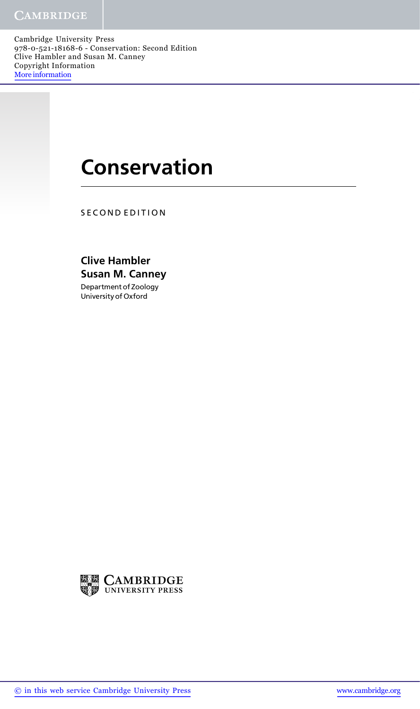Cambridge University Press 978-0-521-18168-6 - Conservation: Second Edition Clive Hambler and Susan M. Canney Copyright Information More information

## **Conservation**

SECOND EDITION

Clive Hambler Susan M. Canney Department of Zoology University of Oxford